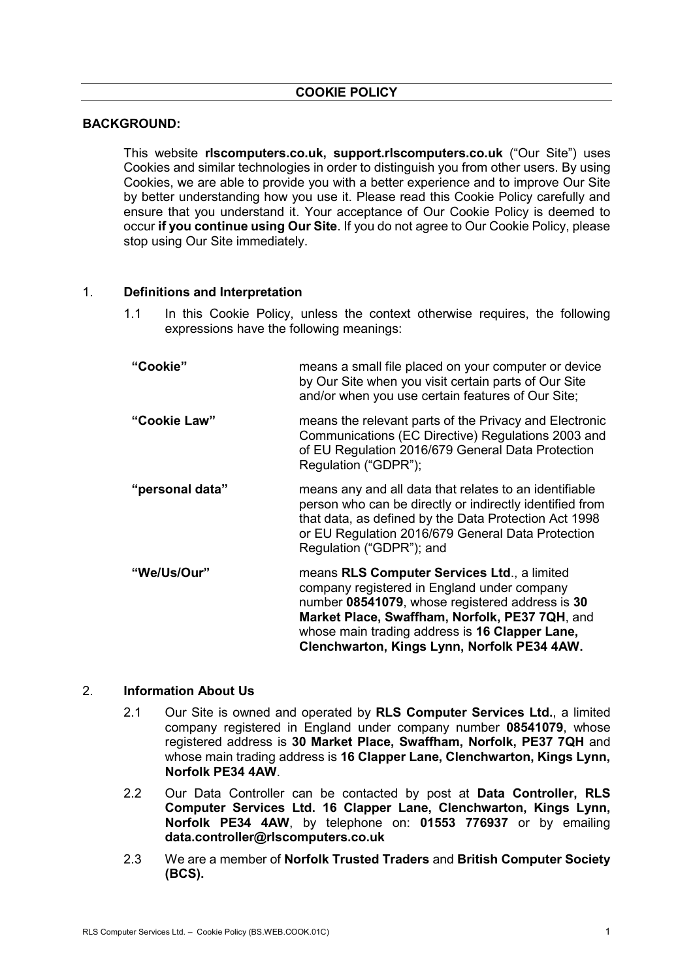## **BACKGROUND:**

 This website **rlscomputers.co.uk, support.rlscomputers.co.uk** ("Our Site") uses Cookies and similar technologies in order to distinguish you from other users. By using Cookies, we are able to provide you with a better experience and to improve Our Site by better understanding how you use it. Please read this Cookie Policy carefully and ensure that you understand it. Your acceptance of Our Cookie Policy is deemed to occur **if you continue using Our Site**. If you do not agree to Our Cookie Policy, please stop using Our Site immediately.

#### 1. **Definitions and Interpretation**

1.1 In this Cookie Policy, unless the context otherwise requires, the following expressions have the following meanings:

| "Cookie"        | means a small file placed on your computer or device<br>by Our Site when you visit certain parts of Our Site<br>and/or when you use certain features of Our Site;                                                                                                                                |  |
|-----------------|--------------------------------------------------------------------------------------------------------------------------------------------------------------------------------------------------------------------------------------------------------------------------------------------------|--|
| "Cookie Law"    | means the relevant parts of the Privacy and Electronic<br>Communications (EC Directive) Regulations 2003 and<br>of EU Regulation 2016/679 General Data Protection<br>Regulation ("GDPR");                                                                                                        |  |
| "personal data" | means any and all data that relates to an identifiable<br>person who can be directly or indirectly identified from<br>that data, as defined by the Data Protection Act 1998<br>or EU Regulation 2016/679 General Data Protection<br>Regulation ("GDPR"); and                                     |  |
| "We/Us/Our"     | means RLS Computer Services Ltd., a limited<br>company registered in England under company<br>number 08541079, whose registered address is 30<br>Market Place, Swaffham, Norfolk, PE37 7QH, and<br>whose main trading address is 16 Clapper Lane,<br>Clenchwarton, Kings Lynn, Norfolk PE34 4AW. |  |

## 2. **Information About Us**

- 2.1 Our Site is owned and operated by **RLS Computer Services Ltd.**, a limited company registered in England under company number **08541079**, whose registered address is **30 Market Place, Swaffham, Norfolk, PE37 7QH** and whose main trading address is **16 Clapper Lane, Clenchwarton, Kings Lynn, Norfolk PE34 4AW**.
- 2.2 Our Data Controller can be contacted by post at **Data Controller, RLS Computer Services Ltd. 16 Clapper Lane, Clenchwarton, Kings Lynn, Norfolk PE34 4AW**, by telephone on: **01553 776937** or by emailing **data.controller@rlscomputers.co.uk**
- 2.3 We are a member of **Norfolk Trusted Traders** and **British Computer Society (BCS).**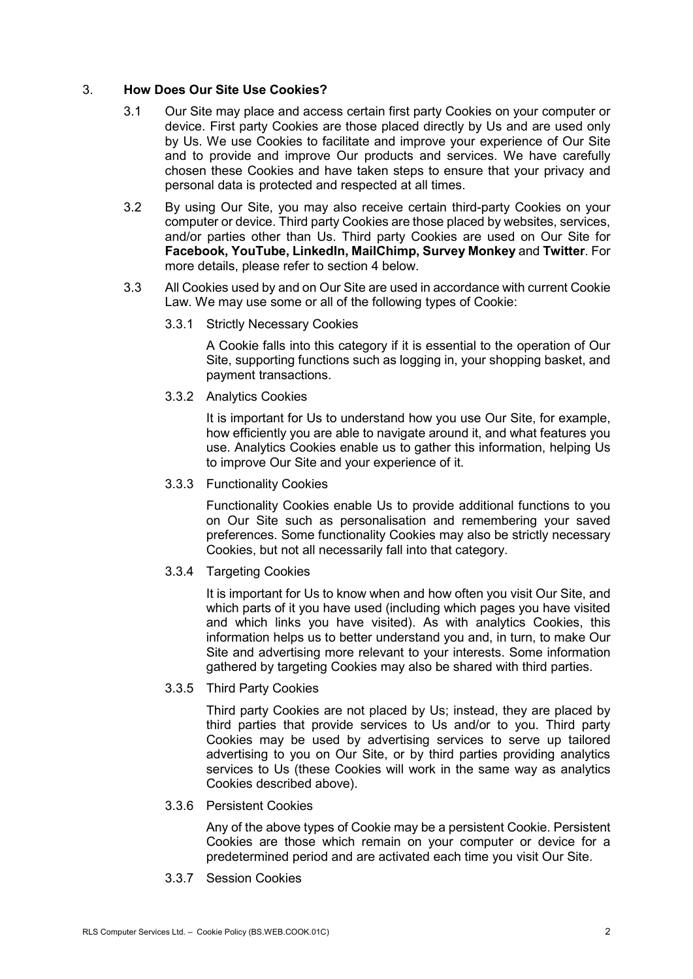## 3. **How Does Our Site Use Cookies?**

- 3.1 Our Site may place and access certain first party Cookies on your computer or device. First party Cookies are those placed directly by Us and are used only by Us. We use Cookies to facilitate and improve your experience of Our Site and to provide and improve Our products and services. We have carefully chosen these Cookies and have taken steps to ensure that your privacy and personal data is protected and respected at all times.
- 3.2 By using Our Site, you may also receive certain third-party Cookies on your computer or device. Third party Cookies are those placed by websites, services, and/or parties other than Us. Third party Cookies are used on Our Site for **Facebook, YouTube, LinkedIn, MailChimp, Survey Monkey** and **Twitter**. For more details, please refer to section 4 below.
- 3.3 All Cookies used by and on Our Site are used in accordance with current Cookie Law. We may use some or all of the following types of Cookie:
	- 3.3.1 Strictly Necessary Cookies

A Cookie falls into this category if it is essential to the operation of Our Site, supporting functions such as logging in, your shopping basket, and payment transactions.

3.3.2 Analytics Cookies

It is important for Us to understand how you use Our Site, for example, how efficiently you are able to navigate around it, and what features you use. Analytics Cookies enable us to gather this information, helping Us to improve Our Site and your experience of it.

3.3.3 Functionality Cookies

Functionality Cookies enable Us to provide additional functions to you on Our Site such as personalisation and remembering your saved preferences. Some functionality Cookies may also be strictly necessary Cookies, but not all necessarily fall into that category.

3.3.4 Targeting Cookies

It is important for Us to know when and how often you visit Our Site, and which parts of it you have used (including which pages you have visited and which links you have visited). As with analytics Cookies, this information helps us to better understand you and, in turn, to make Our Site and advertising more relevant to your interests. Some information gathered by targeting Cookies may also be shared with third parties.

3.3.5 Third Party Cookies

Third party Cookies are not placed by Us; instead, they are placed by third parties that provide services to Us and/or to you. Third party Cookies may be used by advertising services to serve up tailored advertising to you on Our Site, or by third parties providing analytics services to Us (these Cookies will work in the same way as analytics Cookies described above).

3.3.6 Persistent Cookies

Any of the above types of Cookie may be a persistent Cookie. Persistent Cookies are those which remain on your computer or device for a predetermined period and are activated each time you visit Our Site.

3.3.7 Session Cookies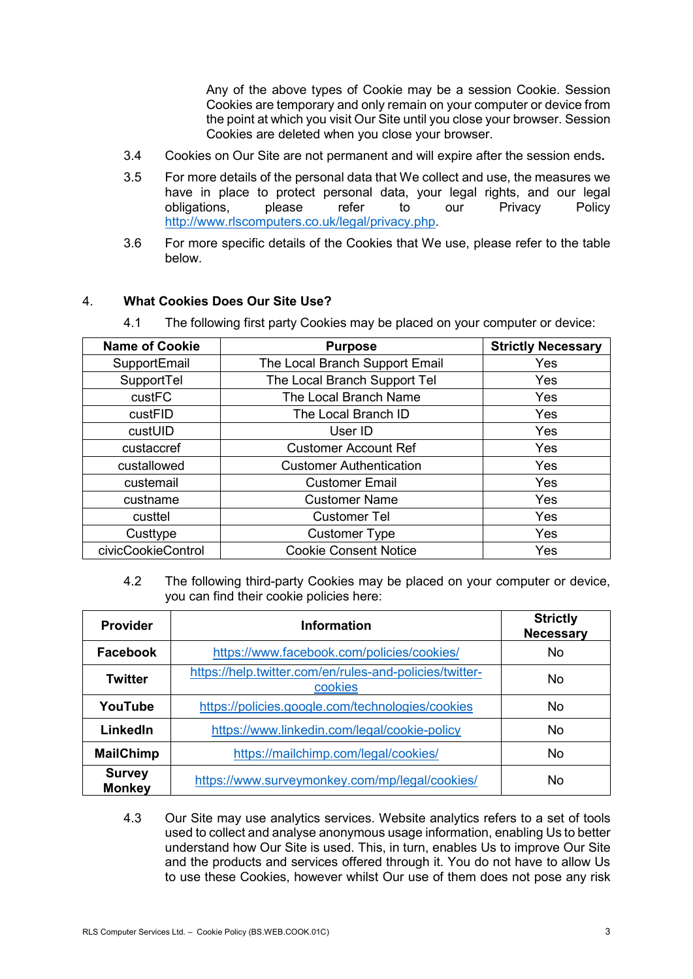Any of the above types of Cookie may be a session Cookie. Session Cookies are temporary and only remain on your computer or device from the point at which you visit Our Site until you close your browser. Session Cookies are deleted when you close your browser.

- 3.4 Cookies on Our Site are not permanent and will expire after the session ends**.**
- 3.5 For more details of the personal data that We collect and use, the measures we have in place to protect personal data, your legal rights, and our legal obligations, please refer to our Privacy Policy http://www.rlscomputers.co.uk/legal/privacy.php.
- 3.6 For more specific details of the Cookies that We use, please refer to the table below.

# 4. **What Cookies Does Our Site Use?**

4.1 The following first party Cookies may be placed on your computer or device:

| <b>Name of Cookie</b> | <b>Purpose</b>                 | <b>Strictly Necessary</b> |
|-----------------------|--------------------------------|---------------------------|
| SupportEmail          | The Local Branch Support Email | Yes                       |
| SupportTel            | The Local Branch Support Tel   | Yes                       |
| custFC                | The Local Branch Name          | Yes                       |
| custFID               | The Local Branch ID            | Yes                       |
| custUID               | User ID                        | Yes                       |
| custaccref            | <b>Customer Account Ref</b>    | Yes                       |
| custallowed           | <b>Customer Authentication</b> | Yes                       |
| custemail             | <b>Customer Email</b>          | Yes                       |
| custname              | <b>Customer Name</b>           | Yes                       |
| custtel               | <b>Customer Tel</b>            | Yes                       |
| Custtype              | <b>Customer Type</b>           | Yes                       |
| civicCookieControl    | <b>Cookie Consent Notice</b>   | Yes                       |

4.2 The following third-party Cookies may be placed on your computer or device, you can find their cookie policies here:

| <b>Provider</b>                | <b>Information</b>                                                 | <b>Strictly</b><br><b>Necessary</b> |
|--------------------------------|--------------------------------------------------------------------|-------------------------------------|
| <b>Facebook</b>                | https://www.facebook.com/policies/cookies/                         | No.                                 |
| <b>Twitter</b>                 | https://help.twitter.com/en/rules-and-policies/twitter-<br>cookies | No.                                 |
| YouTube                        | https://policies.google.com/technologies/cookies                   | No.                                 |
| LinkedIn                       | https://www.linkedin.com/legal/cookie-policy                       | No.                                 |
| <b>MailChimp</b>               | https://mailchimp.com/legal/cookies/                               | No.                                 |
| <b>Survey</b><br><b>Monkey</b> | https://www.surveymonkey.com/mp/legal/cookies/                     | No                                  |

4.3 Our Site may use analytics services. Website analytics refers to a set of tools used to collect and analyse anonymous usage information, enabling Us to better understand how Our Site is used. This, in turn, enables Us to improve Our Site and the products and services offered through it. You do not have to allow Us to use these Cookies, however whilst Our use of them does not pose any risk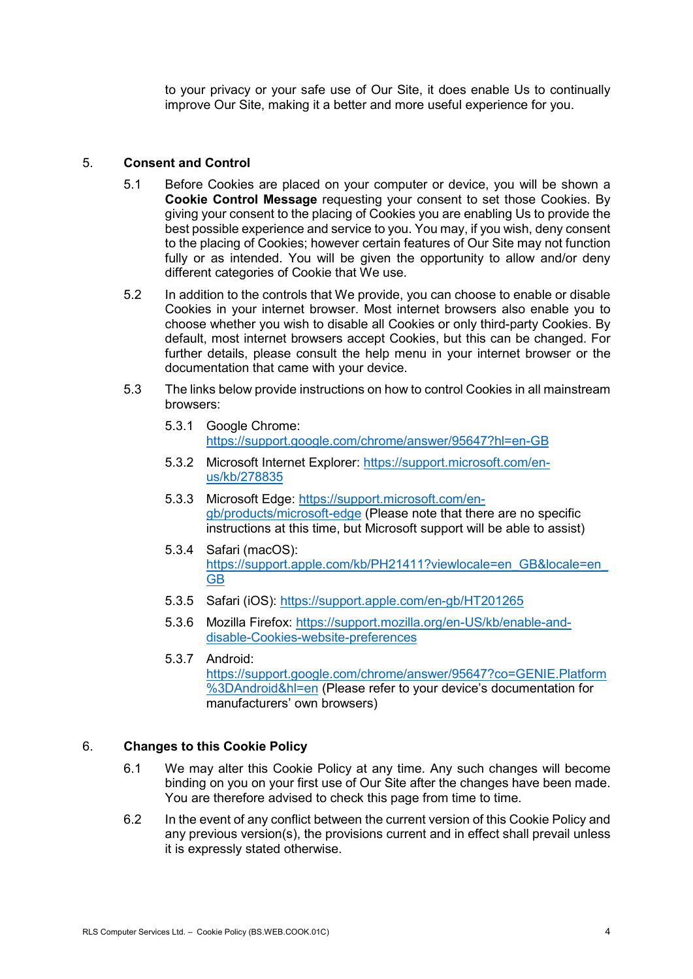to your privacy or your safe use of Our Site, it does enable Us to continually improve Our Site, making it a better and more useful experience for you.

### 5. **Consent and Control**

- 5.1 Before Cookies are placed on your computer or device, you will be shown a **Cookie Control Message** requesting your consent to set those Cookies. By giving your consent to the placing of Cookies you are enabling Us to provide the best possible experience and service to you. You may, if you wish, deny consent to the placing of Cookies; however certain features of Our Site may not function fully or as intended. You will be given the opportunity to allow and/or deny different categories of Cookie that We use.
- 5.2 In addition to the controls that We provide, you can choose to enable or disable Cookies in your internet browser. Most internet browsers also enable you to choose whether you wish to disable all Cookies or only third-party Cookies. By default, most internet browsers accept Cookies, but this can be changed. For further details, please consult the help menu in your internet browser or the documentation that came with your device.
- 5.3 The links below provide instructions on how to control Cookies in all mainstream browsers:
	- 5.3.1 Google Chrome: https://support.google.com/chrome/answer/95647?hl=en-GB
	- 5.3.2 Microsoft Internet Explorer: https://support.microsoft.com/enus/kb/278835
	- 5.3.3 Microsoft Edge: https://support.microsoft.com/engb/products/microsoft-edge (Please note that there are no specific instructions at this time, but Microsoft support will be able to assist)
	- 5.3.4 Safari (macOS): https://support.apple.com/kb/PH21411?viewlocale=en\_GB&locale=en GB
	- 5.3.5 Safari (iOS): https://support.apple.com/en-gb/HT201265
	- 5.3.6 Mozilla Firefox: https://support.mozilla.org/en-US/kb/enable-anddisable-Cookies-website-preferences
	- 5.3.7 Android: https://support.google.com/chrome/answer/95647?co=GENIE.Platform %3DAndroid&hl=en (Please refer to your device's documentation for manufacturers' own browsers)

## 6. **Changes to this Cookie Policy**

- 6.1 We may alter this Cookie Policy at any time. Any such changes will become binding on you on your first use of Our Site after the changes have been made. You are therefore advised to check this page from time to time.
- 6.2 In the event of any conflict between the current version of this Cookie Policy and any previous version(s), the provisions current and in effect shall prevail unless it is expressly stated otherwise.